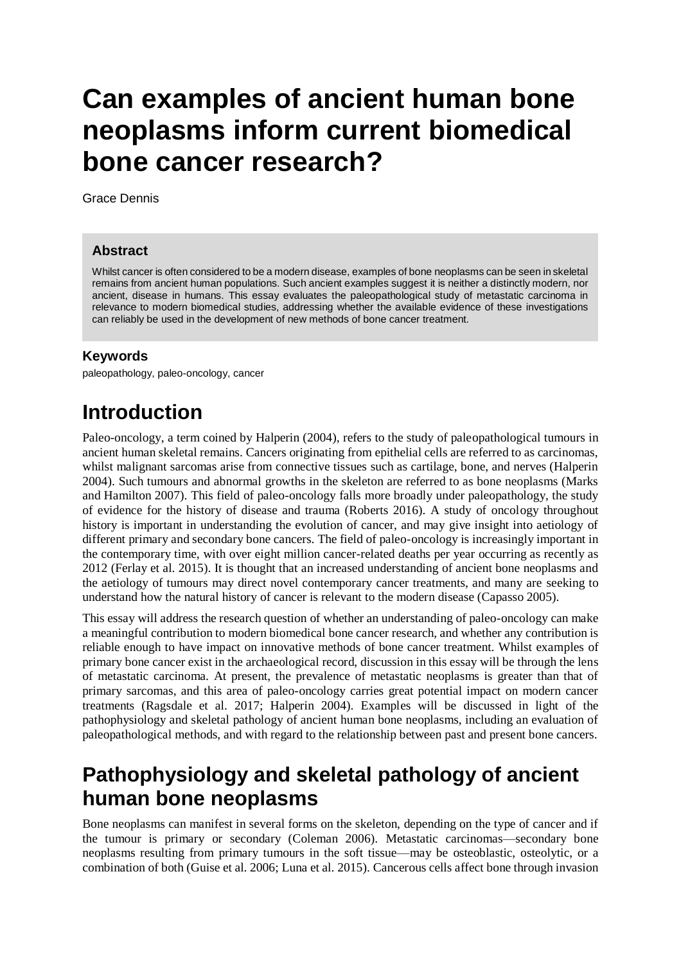# **Can examples of ancient human bone neoplasms inform current biomedical bone cancer research?**

Grace Dennis

#### **Abstract**

Whilst cancer is often considered to be a modern disease, examples of bone neoplasms can be seen in skeletal remains from ancient human populations. Such ancient examples suggest it is neither a distinctly modern, nor ancient, disease in humans. This essay evaluates the paleopathological study of metastatic carcinoma in relevance to modern biomedical studies, addressing whether the available evidence of these investigations can reliably be used in the development of new methods of bone cancer treatment.

#### **Keywords**

paleopathology, paleo-oncology, cancer

# **Introduction**

Paleo-oncology, a term coined by Halperin (2004), refers to the study of paleopathological tumours in ancient human skeletal remains. Cancers originating from epithelial cells are referred to as carcinomas, whilst malignant sarcomas arise from connective tissues such as cartilage, bone, and nerves (Halperin 2004). Such tumours and abnormal growths in the skeleton are referred to as bone neoplasms (Marks and Hamilton 2007). This field of paleo-oncology falls more broadly under paleopathology, the study of evidence for the history of disease and trauma (Roberts 2016). A study of oncology throughout history is important in understanding the evolution of cancer, and may give insight into aetiology of different primary and secondary bone cancers. The field of paleo-oncology is increasingly important in the contemporary time, with over eight million cancer-related deaths per year occurring as recently as 2012 (Ferlay et al. 2015). It is thought that an increased understanding of ancient bone neoplasms and the aetiology of tumours may direct novel contemporary cancer treatments, and many are seeking to understand how the natural history of cancer is relevant to the modern disease (Capasso 2005).

This essay will address the research question of whether an understanding of paleo-oncology can make a meaningful contribution to modern biomedical bone cancer research, and whether any contribution is reliable enough to have impact on innovative methods of bone cancer treatment. Whilst examples of primary bone cancer exist in the archaeological record, discussion in this essay will be through the lens of metastatic carcinoma. At present, the prevalence of metastatic neoplasms is greater than that of primary sarcomas, and this area of paleo-oncology carries great potential impact on modern cancer treatments (Ragsdale et al. 2017; Halperin 2004). Examples will be discussed in light of the pathophysiology and skeletal pathology of ancient human bone neoplasms, including an evaluation of paleopathological methods, and with regard to the relationship between past and present bone cancers.

# **Pathophysiology and skeletal pathology of ancient human bone neoplasms**

Bone neoplasms can manifest in several forms on the skeleton, depending on the type of cancer and if the tumour is primary or secondary (Coleman 2006). Metastatic carcinomas—secondary bone neoplasms resulting from primary tumours in the soft tissue—may be osteoblastic, osteolytic, or a combination of both (Guise et al. 2006; Luna et al. 2015). Cancerous cells affect bone through invasion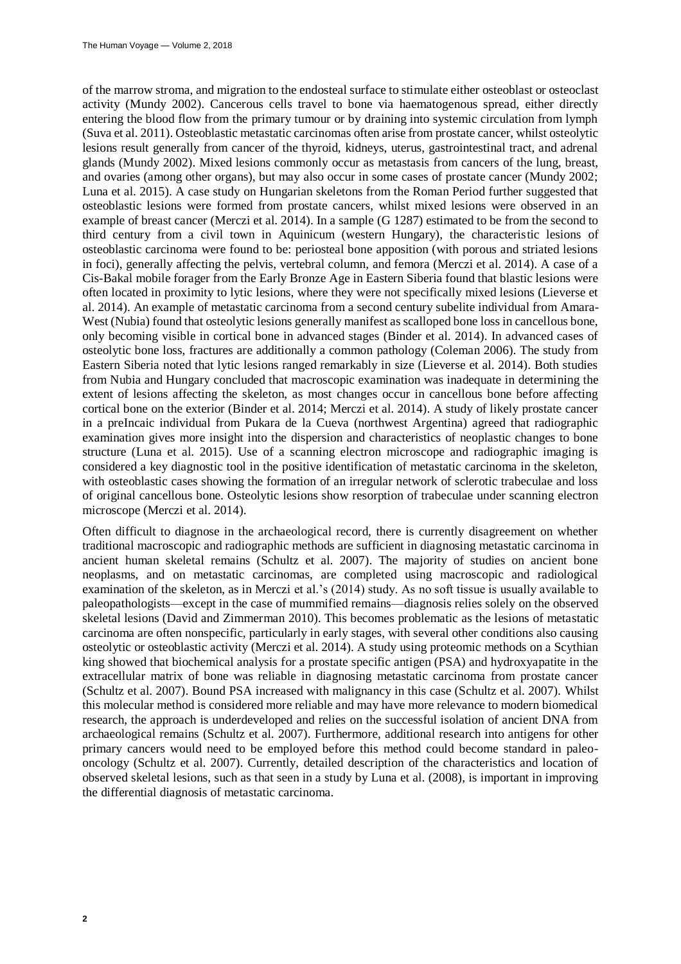of the marrow stroma, and migration to the endosteal surface to stimulate either osteoblast or osteoclast activity (Mundy 2002). Cancerous cells travel to bone via haematogenous spread, either directly entering the blood flow from the primary tumour or by draining into systemic circulation from lymph (Suva et al. 2011). Osteoblastic metastatic carcinomas often arise from prostate cancer, whilst osteolytic lesions result generally from cancer of the thyroid, kidneys, uterus, gastrointestinal tract, and adrenal glands (Mundy 2002). Mixed lesions commonly occur as metastasis from cancers of the lung, breast, and ovaries (among other organs), but may also occur in some cases of prostate cancer (Mundy 2002; Luna et al. 2015). A case study on Hungarian skeletons from the Roman Period further suggested that osteoblastic lesions were formed from prostate cancers, whilst mixed lesions were observed in an example of breast cancer (Merczi et al. 2014). In a sample (G 1287) estimated to be from the second to third century from a civil town in Aquinicum (western Hungary), the characteristic lesions of osteoblastic carcinoma were found to be: periosteal bone apposition (with porous and striated lesions in foci), generally affecting the pelvis, vertebral column, and femora (Merczi et al. 2014). A case of a Cis-Bakal mobile forager from the Early Bronze Age in Eastern Siberia found that blastic lesions were often located in proximity to lytic lesions, where they were not specifically mixed lesions (Lieverse et al. 2014). An example of metastatic carcinoma from a second century subelite individual from Amara-West (Nubia) found that osteolytic lesions generally manifest as scalloped bone loss in cancellous bone, only becoming visible in cortical bone in advanced stages (Binder et al. 2014). In advanced cases of osteolytic bone loss, fractures are additionally a common pathology (Coleman 2006). The study from Eastern Siberia noted that lytic lesions ranged remarkably in size (Lieverse et al. 2014). Both studies from Nubia and Hungary concluded that macroscopic examination was inadequate in determining the extent of lesions affecting the skeleton, as most changes occur in cancellous bone before affecting cortical bone on the exterior (Binder et al. 2014; Merczi et al. 2014). A study of likely prostate cancer in a preIncaic individual from Pukara de la Cueva (northwest Argentina) agreed that radiographic examination gives more insight into the dispersion and characteristics of neoplastic changes to bone structure (Luna et al. 2015). Use of a scanning electron microscope and radiographic imaging is considered a key diagnostic tool in the positive identification of metastatic carcinoma in the skeleton, with osteoblastic cases showing the formation of an irregular network of sclerotic trabeculae and loss of original cancellous bone. Osteolytic lesions show resorption of trabeculae under scanning electron microscope (Merczi et al. 2014).

Often difficult to diagnose in the archaeological record, there is currently disagreement on whether traditional macroscopic and radiographic methods are sufficient in diagnosing metastatic carcinoma in ancient human skeletal remains (Schultz et al. 2007). The majority of studies on ancient bone neoplasms, and on metastatic carcinomas, are completed using macroscopic and radiological examination of the skeleton, as in Merczi et al.'s (2014) study. As no soft tissue is usually available to paleopathologists—except in the case of mummified remains—diagnosis relies solely on the observed skeletal lesions (David and Zimmerman 2010). This becomes problematic as the lesions of metastatic carcinoma are often nonspecific, particularly in early stages, with several other conditions also causing osteolytic or osteoblastic activity (Merczi et al. 2014). A study using proteomic methods on a Scythian king showed that biochemical analysis for a prostate specific antigen (PSA) and hydroxyapatite in the extracellular matrix of bone was reliable in diagnosing metastatic carcinoma from prostate cancer (Schultz et al. 2007). Bound PSA increased with malignancy in this case (Schultz et al. 2007). Whilst this molecular method is considered more reliable and may have more relevance to modern biomedical research, the approach is underdeveloped and relies on the successful isolation of ancient DNA from archaeological remains (Schultz et al. 2007). Furthermore, additional research into antigens for other primary cancers would need to be employed before this method could become standard in paleooncology (Schultz et al. 2007). Currently, detailed description of the characteristics and location of observed skeletal lesions, such as that seen in a study by Luna et al. (2008), is important in improving the differential diagnosis of metastatic carcinoma.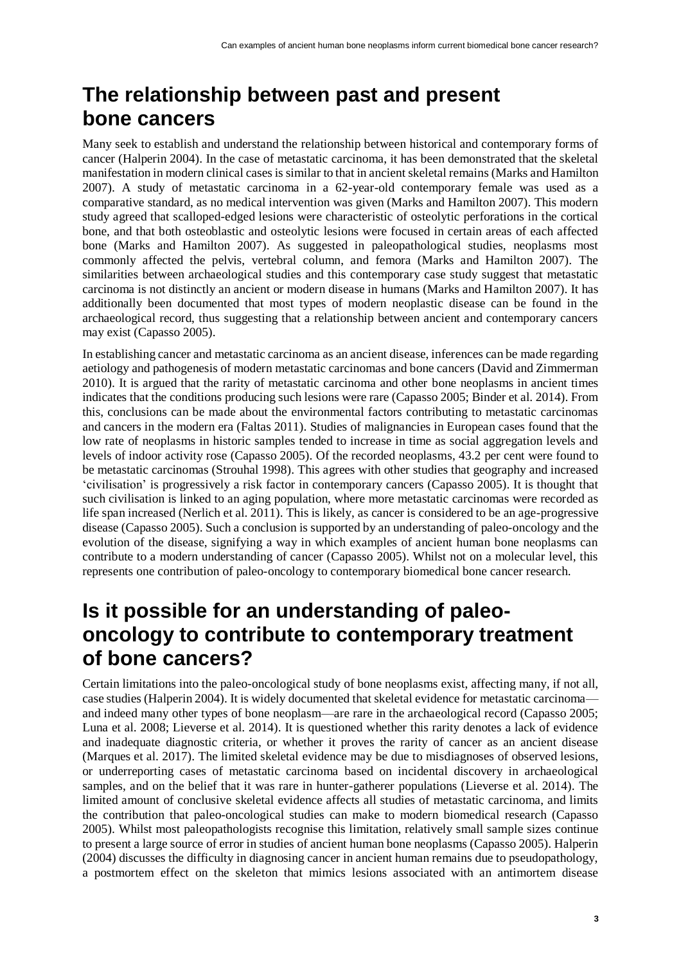# **The relationship between past and present bone cancers**

Many seek to establish and understand the relationship between historical and contemporary forms of cancer (Halperin 2004). In the case of metastatic carcinoma, it has been demonstrated that the skeletal manifestation in modern clinical cases is similar to that in ancient skeletal remains (Marks and Hamilton 2007). A study of metastatic carcinoma in a 62-year-old contemporary female was used as a comparative standard, as no medical intervention was given (Marks and Hamilton 2007). This modern study agreed that scalloped-edged lesions were characteristic of osteolytic perforations in the cortical bone, and that both osteoblastic and osteolytic lesions were focused in certain areas of each affected bone (Marks and Hamilton 2007). As suggested in paleopathological studies, neoplasms most commonly affected the pelvis, vertebral column, and femora (Marks and Hamilton 2007). The similarities between archaeological studies and this contemporary case study suggest that metastatic carcinoma is not distinctly an ancient or modern disease in humans (Marks and Hamilton 2007). It has additionally been documented that most types of modern neoplastic disease can be found in the archaeological record, thus suggesting that a relationship between ancient and contemporary cancers may exist (Capasso 2005).

In establishing cancer and metastatic carcinoma as an ancient disease, inferences can be made regarding aetiology and pathogenesis of modern metastatic carcinomas and bone cancers (David and Zimmerman 2010). It is argued that the rarity of metastatic carcinoma and other bone neoplasms in ancient times indicates that the conditions producing such lesions were rare (Capasso 2005; Binder et al. 2014). From this, conclusions can be made about the environmental factors contributing to metastatic carcinomas and cancers in the modern era (Faltas 2011). Studies of malignancies in European cases found that the low rate of neoplasms in historic samples tended to increase in time as social aggregation levels and levels of indoor activity rose (Capasso 2005). Of the recorded neoplasms, 43.2 per cent were found to be metastatic carcinomas (Strouhal 1998). This agrees with other studies that geography and increased 'civilisation' is progressively a risk factor in contemporary cancers (Capasso 2005). It is thought that such civilisation is linked to an aging population, where more metastatic carcinomas were recorded as life span increased (Nerlich et al. 2011). This is likely, as cancer is considered to be an age-progressive disease (Capasso 2005). Such a conclusion is supported by an understanding of paleo-oncology and the evolution of the disease, signifying a way in which examples of ancient human bone neoplasms can contribute to a modern understanding of cancer (Capasso 2005). Whilst not on a molecular level, this represents one contribution of paleo-oncology to contemporary biomedical bone cancer research.

# **Is it possible for an understanding of paleooncology to contribute to contemporary treatment of bone cancers?**

Certain limitations into the paleo-oncological study of bone neoplasms exist, affecting many, if not all, case studies (Halperin 2004). It is widely documented that skeletal evidence for metastatic carcinoma and indeed many other types of bone neoplasm—are rare in the archaeological record (Capasso 2005; Luna et al. 2008; Lieverse et al. 2014). It is questioned whether this rarity denotes a lack of evidence and inadequate diagnostic criteria, or whether it proves the rarity of cancer as an ancient disease (Marques et al. 2017). The limited skeletal evidence may be due to misdiagnoses of observed lesions, or underreporting cases of metastatic carcinoma based on incidental discovery in archaeological samples, and on the belief that it was rare in hunter-gatherer populations (Lieverse et al. 2014). The limited amount of conclusive skeletal evidence affects all studies of metastatic carcinoma, and limits the contribution that paleo-oncological studies can make to modern biomedical research (Capasso 2005). Whilst most paleopathologists recognise this limitation, relatively small sample sizes continue to present a large source of error in studies of ancient human bone neoplasms (Capasso 2005). Halperin (2004) discusses the difficulty in diagnosing cancer in ancient human remains due to pseudopathology, a postmortem effect on the skeleton that mimics lesions associated with an antimortem disease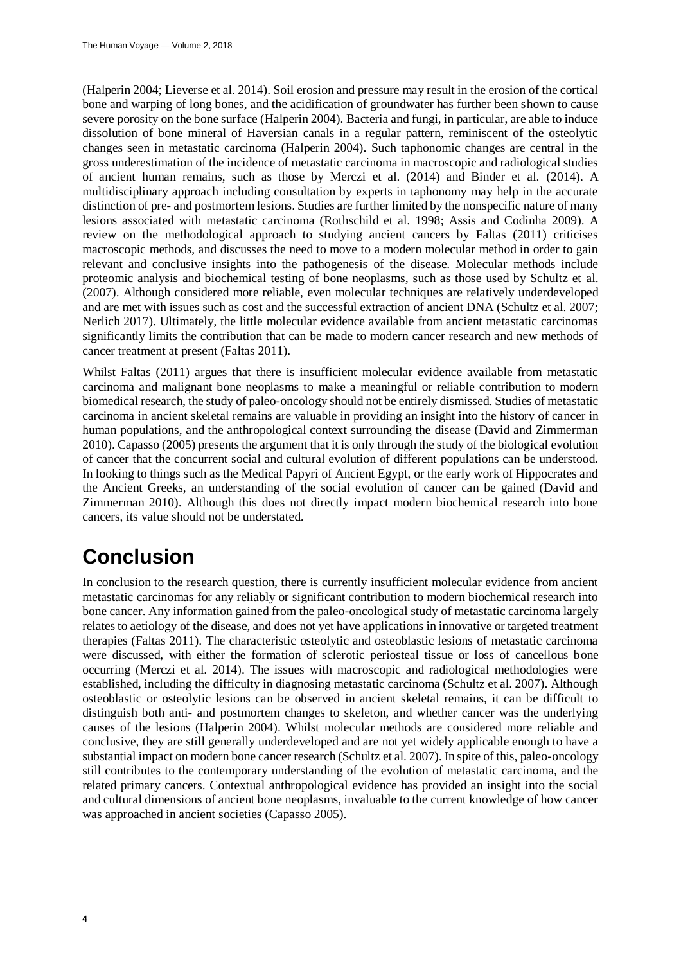(Halperin 2004; Lieverse et al. 2014). Soil erosion and pressure may result in the erosion of the cortical bone and warping of long bones, and the acidification of groundwater has further been shown to cause severe porosity on the bone surface (Halperin 2004). Bacteria and fungi, in particular, are able to induce dissolution of bone mineral of Haversian canals in a regular pattern, reminiscent of the osteolytic changes seen in metastatic carcinoma (Halperin 2004). Such taphonomic changes are central in the gross underestimation of the incidence of metastatic carcinoma in macroscopic and radiological studies of ancient human remains, such as those by Merczi et al. (2014) and Binder et al. (2014). A multidisciplinary approach including consultation by experts in taphonomy may help in the accurate distinction of pre- and postmortem lesions. Studies are further limited by the nonspecific nature of many lesions associated with metastatic carcinoma (Rothschild et al. 1998; Assis and Codinha 2009). A review on the methodological approach to studying ancient cancers by Faltas (2011) criticises macroscopic methods, and discusses the need to move to a modern molecular method in order to gain relevant and conclusive insights into the pathogenesis of the disease. Molecular methods include proteomic analysis and biochemical testing of bone neoplasms, such as those used by Schultz et al. (2007). Although considered more reliable, even molecular techniques are relatively underdeveloped and are met with issues such as cost and the successful extraction of ancient DNA (Schultz et al. 2007; Nerlich 2017). Ultimately, the little molecular evidence available from ancient metastatic carcinomas significantly limits the contribution that can be made to modern cancer research and new methods of cancer treatment at present (Faltas 2011).

Whilst Faltas (2011) argues that there is insufficient molecular evidence available from metastatic carcinoma and malignant bone neoplasms to make a meaningful or reliable contribution to modern biomedical research, the study of paleo-oncology should not be entirely dismissed. Studies of metastatic carcinoma in ancient skeletal remains are valuable in providing an insight into the history of cancer in human populations, and the anthropological context surrounding the disease (David and Zimmerman 2010). Capasso (2005) presents the argument that it is only through the study of the biological evolution of cancer that the concurrent social and cultural evolution of different populations can be understood. In looking to things such as the Medical Papyri of Ancient Egypt, or the early work of Hippocrates and the Ancient Greeks, an understanding of the social evolution of cancer can be gained (David and Zimmerman 2010). Although this does not directly impact modern biochemical research into bone cancers, its value should not be understated.

# **Conclusion**

In conclusion to the research question, there is currently insufficient molecular evidence from ancient metastatic carcinomas for any reliably or significant contribution to modern biochemical research into bone cancer. Any information gained from the paleo-oncological study of metastatic carcinoma largely relates to aetiology of the disease, and does not yet have applications in innovative or targeted treatment therapies (Faltas 2011). The characteristic osteolytic and osteoblastic lesions of metastatic carcinoma were discussed, with either the formation of sclerotic periosteal tissue or loss of cancellous bone occurring (Merczi et al. 2014). The issues with macroscopic and radiological methodologies were established, including the difficulty in diagnosing metastatic carcinoma (Schultz et al. 2007). Although osteoblastic or osteolytic lesions can be observed in ancient skeletal remains, it can be difficult to distinguish both anti- and postmortem changes to skeleton, and whether cancer was the underlying causes of the lesions (Halperin 2004). Whilst molecular methods are considered more reliable and conclusive, they are still generally underdeveloped and are not yet widely applicable enough to have a substantial impact on modern bone cancer research (Schultz et al. 2007). In spite of this, paleo-oncology still contributes to the contemporary understanding of the evolution of metastatic carcinoma, and the related primary cancers. Contextual anthropological evidence has provided an insight into the social and cultural dimensions of ancient bone neoplasms, invaluable to the current knowledge of how cancer was approached in ancient societies (Capasso 2005).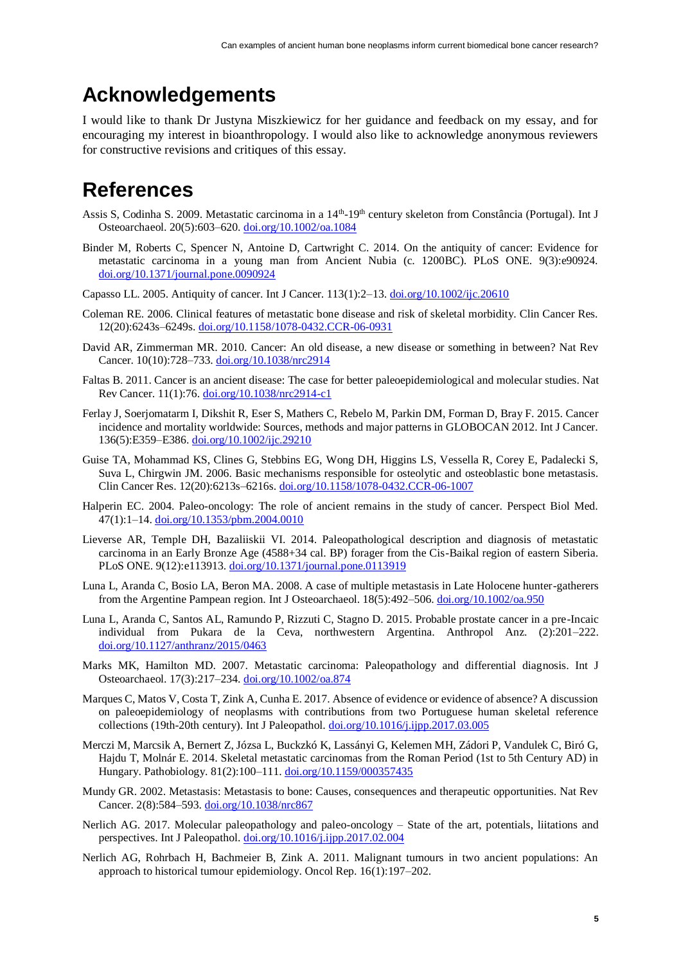### **Acknowledgements**

I would like to thank Dr Justyna Miszkiewicz for her guidance and feedback on my essay, and for encouraging my interest in bioanthropology. I would also like to acknowledge anonymous reviewers for constructive revisions and critiques of this essay.

### **References**

- Assis S, Codinha S. 2009. Metastatic carcinoma in a 14<sup>th</sup>-19<sup>th</sup> century skeleton from Constância (Portugal). Int J Osteoarchaeol. 20(5):603–620. [doi.org/10.1002/oa.1084](https://doi.org/10.1002/oa.1084)
- Binder M, Roberts C, Spencer N, Antoine D, Cartwright C. 2014. On the antiquity of cancer: Evidence for metastatic carcinoma in a young man from Ancient Nubia (c. 1200BC). PLoS ONE. 9(3):e90924. [doi.org/10.1371/journal.pone.0090924](https://doi.org/10.1371/journal.pone.0090924)
- Capasso LL. 2005. Antiquity of cancer. Int J Cancer.  $113(1):2-13$ .  $\frac{\text{doi.org}}{10.1002}\frac{\text{doi.org}}{\text{10.1002}}\frac{20610}{\text{10.1002}}$
- Coleman RE. 2006. Clinical features of metastatic bone disease and risk of skeletal morbidity. Clin Cancer Res. 12(20):6243s–6249s[. doi.org/10.1158/1078-0432.CCR-06-0931](https://doi.org/10.1158/1078-0432.CCR-06-0931)
- David AR, Zimmerman MR. 2010. Cancer: An old disease, a new disease or something in between? Nat Rev Cancer. 10(10):728–733. [doi.org/10.1038/nrc2914](https://doi.org/10.1038/nrc2914)
- Faltas B. 2011. Cancer is an ancient disease: The case for better paleoepidemiological and molecular studies. Nat Rev Cancer. 11(1):76. [doi.org/10.1038/nrc2914-c1](https://doi.org/10.1038/nrc2914-c1)
- Ferlay J, Soerjomatarm I, Dikshit R, Eser S, Mathers C, Rebelo M, Parkin DM, Forman D, Bray F. 2015. Cancer incidence and mortality worldwide: Sources, methods and major patterns in GLOBOCAN 2012. Int J Cancer. 136(5):E359–E386. [doi.org/10.1002/ijc.29210](https://doi.org/10.1002/ijc.29210)
- Guise TA, Mohammad KS, Clines G, Stebbins EG, Wong DH, Higgins LS, Vessella R, Corey E, Padalecki S, Suva L, Chirgwin JM. 2006. Basic mechanisms responsible for osteolytic and osteoblastic bone metastasis. Clin Cancer Res. 12(20):6213s–6216s. [doi.org/10.1158/1078-0432.CCR-06-1007](https://doi.org/10.1158/1078-0432.CCR-06-1007)
- Halperin EC. 2004. Paleo-oncology: The role of ancient remains in the study of cancer. Perspect Biol Med. 47(1):1–14[. doi.org/10.1353/pbm.2004.0010](https://doi.org/10.1353/pbm.2004.0010)
- Lieverse AR, Temple DH, Bazaliiskii VI. 2014. Paleopathological description and diagnosis of metastatic carcinoma in an Early Bronze Age (4588+34 cal. BP) forager from the Cis-Baikal region of eastern Siberia. PLoS ONE. 9(12):e113913. [doi.org/10.1371/journal.pone.0113919](https://doi.org/10.1371/journal.pone.0113919)
- Luna L, Aranda C, Bosio LA, Beron MA. 2008. A case of multiple metastasis in Late Holocene hunter-gatherers from the Argentine Pampean region. Int J Osteoarchaeol. 18(5):492–506[. doi.org/10.1002/oa.950](https://doi.org/10.1002/oa.950)
- Luna L, Aranda C, Santos AL, Ramundo P, Rizzuti C, Stagno D. 2015. Probable prostate cancer in a pre-Incaic individual from Pukara de la Ceva, northwestern Argentina. Anthropol Anz. (2):201–222. [doi.org/10.1127/anthranz/2015/0463](https://doi.org/10.1127/anthranz/2015/0463)
- Marks MK, Hamilton MD. 2007. Metastatic carcinoma: Paleopathology and differential diagnosis. Int J Osteoarchaeol. 17(3):217–234. [doi.org/10.1002/oa.874](https://doi.org/10.1002/oa.874)
- Marques C, Matos V, Costa T, Zink A, Cunha E. 2017. Absence of evidence or evidence of absence? A discussion on paleoepidemiology of neoplasms with contributions from two Portuguese human skeletal reference collections (19th-20th century). Int J Paleopathol. [doi.org/10.1016/j.ijpp.2017.03.005](https://doi.org/10.1016/j.ijpp.2017.03.005)
- Merczi M, Marcsik A, Bernert Z, Józsa L, Buckzkó K, Lassányi G, Kelemen MH, Zádori P, Vandulek C, Biró G, Hajdu T, Molnár E. 2014. Skeletal metastatic carcinomas from the Roman Period (1st to 5th Century AD) in Hungary. Pathobiology. 81(2):100–111. [doi.org/10.1159/000357435](https://doi.org/10.1159/000357435)
- Mundy GR. 2002. Metastasis: Metastasis to bone: Causes, consequences and therapeutic opportunities. Nat Rev Cancer. 2(8):584–593. [doi.org/10.1038/nrc867](https://doi.org/10.1038/nrc867)
- Nerlich AG. 2017. Molecular paleopathology and paleo-oncology State of the art, potentials, liitations and perspectives. Int J Paleopathol. [doi.org/10.1016/j.ijpp.2017.02.004](https://doi.org/10.1016/j.ijpp.2017.02.004)
- Nerlich AG, Rohrbach H, Bachmeier B, Zink A. 2011. Malignant tumours in two ancient populations: An approach to historical tumour epidemiology. Oncol Rep. 16(1):197–202.